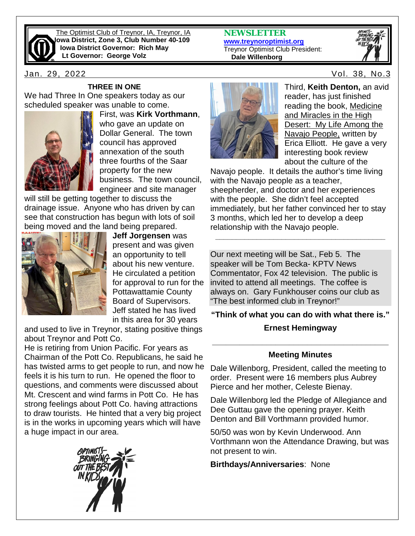

The Optimist Club of Treynor, IA, Treynor, IA **Iowa District, Zone 3, Club Number 40-109 Iowa District Governor: Rich May Lt Governor: George Volz**

Jan. 29, 2022 Vol. 38, No.3

#### **THREE IN ONE**

We had Three In One speakers today as our scheduled speaker was unable to come.



First, was **Kirk Vorthmann**, who gave an update on Dollar General. The town council has approved annexation of the south three fourths of the Saar property for the new business. The town council, engineer and site manager

will still be getting together to discuss the drainage issue. Anyone who has driven by can see that construction has begun with lots of soil being moved and the land being prepared.



**Jeff Jorgensen** was present and was given an opportunity to tell about his new venture. He circulated a petition for approval to run for the Pottawattamie County Board of Supervisors. Jeff stated he has lived in this area for 30 years

and used to live in Treynor, stating positive things about Treynor and Pott Co.

He is retiring from Union Pacific. For years as Chairman of the Pott Co. Republicans, he said he has twisted arms to get people to run, and now he feels it is his turn to run. He opened the floor to questions, and comments were discussed about Mt. Crescent and wind farms in Pott Co. He has strong feelings about Pott Co. having attractions to draw tourists. He hinted that a very big project is in the works in upcoming years which will have a huge impact in our area.



**[www.treynoroptimist.org](http://www.treynoroptimist.org/)** Treynor Optimist Club President:  **Dale Willenborg**

**NEWSLETTER**





Third, **Keith Denton,** an avid reader, has just finished reading the book, Medicine and Miracles in the High Desert: My Life Among the Navajo People, written by Erica Elliott. He gave a very interesting book review about the culture of the

Navajo people. It details the author's time living with the Navajo people as a teacher, sheepherder, and doctor and her experiences with the people. She didn't feel accepted immediately, but her father convinced her to stay 3 months, which led her to develop a deep relationship with the Navajo people.

**\_\_\_\_\_\_\_\_\_\_\_\_\_\_\_\_\_\_\_\_\_\_\_\_\_\_\_\_\_\_\_\_\_\_\_\_\_\_\_\_\_**

Our next meeting will be Sat., Feb 5. The speaker will be Tom Becka- KPTV News Commentator, Fox 42 television. The public is invited to attend all meetings. The coffee is always on. Gary Funkhouser coins our club as "The best informed club in Treynor!"

**"Think of what you can do with what there is."**

#### **Ernest Hemingway**

# **\_\_\_\_\_\_\_\_\_\_\_\_\_\_\_\_\_\_\_\_\_\_\_\_\_\_\_\_\_\_\_\_\_\_\_\_\_\_\_ Meeting Minutes**

Dale Willenborg, President, called the meeting to order. Present were 16 members plus Aubrey Pierce and her mother, Celeste Bienay.

Dale Willenborg led the Pledge of Allegiance and Dee Guttau gave the opening prayer. Keith Denton and Bill Vorthmann provided humor.

50/50 was won by Kevin Underwood. Ann Vorthmann won the Attendance Drawing, but was not present to win.

**Birthdays/Anniversaries**: None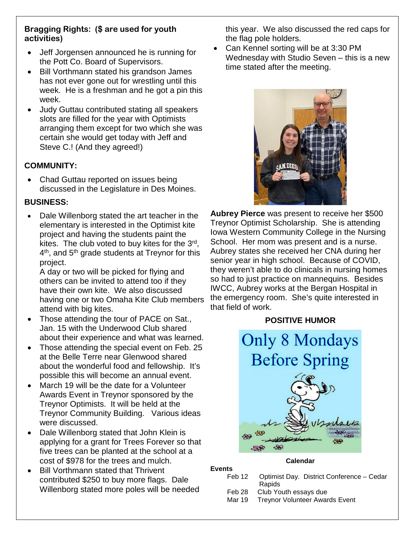# **Bragging Rights: (\$ are used for youth activities)**

- Jeff Jorgensen announced he is running for the Pott Co. Board of Supervisors.
- Bill Vorthmann stated his grandson James has not ever gone out for wrestling until this week. He is a freshman and he got a pin this week.
- Judy Guttau contributed stating all speakers slots are filled for the year with Optimists arranging them except for two which she was certain she would get today with Jeff and Steve C.! (And they agreed!)

# **COMMUNITY:**

• Chad Guttau reported on issues being discussed in the Legislature in Des Moines.

# **BUSINESS:**

• Dale Willenborg stated the art teacher in the elementary is interested in the Optimist kite project and having the students paint the kites. The club voted to buy kites for the  $3<sup>rd</sup>$ ,  $4<sup>th</sup>$ , and  $5<sup>th</sup>$  grade students at Treynor for this project.

A day or two will be picked for flying and others can be invited to attend too if they have their own kite. We also discussed having one or two Omaha Kite Club members attend with big kites.

- Those attending the tour of PACE on Sat., Jan. 15 with the Underwood Club shared about their experience and what was learned.
- Those attending the special event on Feb. 25 at the Belle Terre near Glenwood shared about the wonderful food and fellowship. It's possible this will become an annual event.
- March 19 will be the date for a Volunteer Awards Event in Treynor sponsored by the Treynor Optimists. It will be held at the Treynor Community Building. Various ideas were discussed.
- Dale Willenborg stated that John Klein is applying for a grant for Trees Forever so that five trees can be planted at the school at a cost of \$978 for the trees and mulch.
- **Bill Vorthmann stated that Thrivent** contributed \$250 to buy more flags. Dale Willenborg stated more poles will be needed

this year. We also discussed the red caps for the flag pole holders.

• Can Kennel sorting will be at 3:30 PM Wednesday with Studio Seven – this is a new time stated after the meeting.



**Aubrey Pierce** was present to receive her \$500 Treynor Optimist Scholarship. She is attending Iowa Western Community College in the Nursing School. Her mom was present and is a nurse. Aubrey states she received her CNA during her senior year in high school. Because of COVID, they weren't able to do clinicals in nursing homes so had to just practice on mannequins. Besides IWCC, Aubrey works at the Bergan Hospital in the emergency room. She's quite interested in that field of work.

# **POSITIVE HUMOR**



#### **Calendar**

**Events**<br>Feb 12

- Optimist Day. District Conference Cedar Rapids
	- Feb 28 Club Youth essays due<br>Mar 19 Treynor Volunteer Awar
- Treynor Volunteer Awards Event